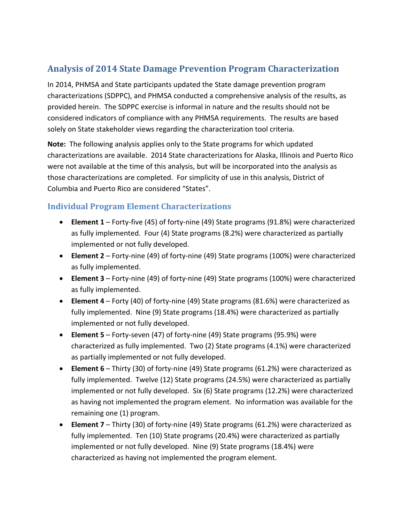# **Analysis of 2014 State Damage Prevention Program Characterization**

In 2014, PHMSA and State participants updated the State damage prevention program characterizations (SDPPC), and PHMSA conducted a comprehensive analysis of the results, as provided herein. The SDPPC exercise is informal in nature and the results should not be considered indicators of compliance with any PHMSA requirements. The results are based solely on State stakeholder views regarding the characterization tool criteria.

**Note:** The following analysis applies only to the State programs for which updated characterizations are available. 2014 State characterizations for Alaska, Illinois and Puerto Rico were not available at the time of this analysis, but will be incorporated into the analysis as those characterizations are completed. For simplicity of use in this analysis, District of Columbia and Puerto Rico are considered "States".

## **Individual Program Element Characterizations**

- **Element 1** Forty-five (45) of forty-nine (49) State programs (91.8%) were characterized as fully implemented. Four (4) State programs (8.2%) were characterized as partially implemented or not fully developed.
- **Element 2** Forty-nine (49) of forty-nine (49) State programs (100%) were characterized as fully implemented.
- **Element 3** Forty-nine (49) of forty-nine (49) State programs (100%) were characterized as fully implemented.
- **Element 4** Forty (40) of forty-nine (49) State programs (81.6%) were characterized as fully implemented. Nine (9) State programs (18.4%) were characterized as partially implemented or not fully developed.
- **Element 5** Forty-seven (47) of forty-nine (49) State programs (95.9%) were characterized as fully implemented. Two (2) State programs (4.1%) were characterized as partially implemented or not fully developed.
- **Element 6** Thirty (30) of forty-nine (49) State programs (61.2%) were characterized as fully implemented. Twelve (12) State programs (24.5%) were characterized as partially implemented or not fully developed. Six (6) State programs (12.2%) were characterized as having not implemented the program element. No information was available for the remaining one (1) program.
- **Element 7** Thirty (30) of forty-nine (49) State programs (61.2%) were characterized as fully implemented. Ten (10) State programs (20.4%) were characterized as partially implemented or not fully developed. Nine (9) State programs (18.4%) were characterized as having not implemented the program element.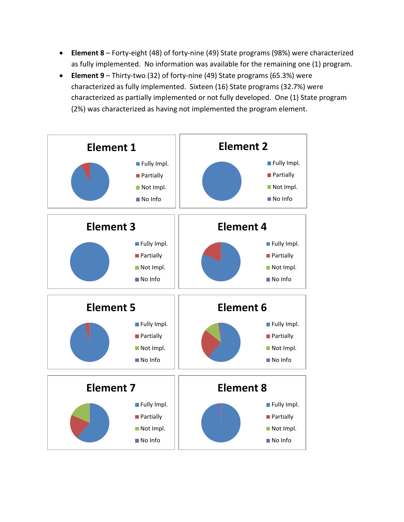- **Element 8** Forty-eight (48) of forty-nine (49) State programs (98%) were characterized as fully implemented. No information was available for the remaining one (1) program.
- **Element 9** Thirty-two (32) of forty-nine (49) State programs (65.3%) were characterized as fully implemented. Sixteen (16) State programs (32.7%) were characterized as partially implemented or not fully developed. One (1) State program (2%) was characterized as having not implemented the program element.

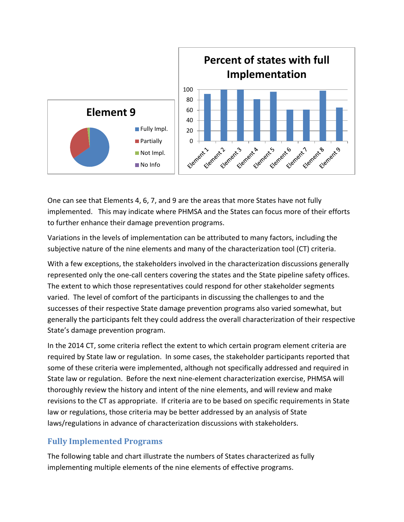

One can see that Elements 4, 6, 7, and 9 are the areas that more States have not fully implemented. This may indicate where PHMSA and the States can focus more of their efforts to further enhance their damage prevention programs.

Variations in the levels of implementation can be attributed to many factors, including the subjective nature of the nine elements and many of the characterization tool (CT) criteria.

With a few exceptions, the stakeholders involved in the characterization discussions generally represented only the one-call centers covering the states and the State pipeline safety offices. The extent to which those representatives could respond for other stakeholder segments varied. The level of comfort of the participants in discussing the challenges to and the successes of their respective State damage prevention programs also varied somewhat, but generally the participants felt they could address the overall characterization of their respective State's damage prevention program.

In the 2014 CT, some criteria reflect the extent to which certain program element criteria are required by State law or regulation. In some cases, the stakeholder participants reported that some of these criteria were implemented, although not specifically addressed and required in State law or regulation. Before the next nine-element characterization exercise, PHMSA will thoroughly review the history and intent of the nine elements, and will review and make revisions to the CT as appropriate. If criteria are to be based on specific requirements in State law or regulations, those criteria may be better addressed by an analysis of State laws/regulations in advance of characterization discussions with stakeholders.

## **Fully Implemented Programs**

The following table and chart illustrate the numbers of States characterized as fully implementing multiple elements of the nine elements of effective programs.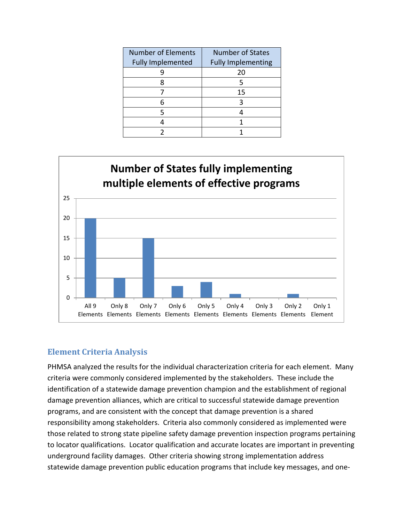| <b>Number of Elements</b><br><b>Fully Implemented</b> | <b>Number of States</b><br><b>Fully Implementing</b> |
|-------------------------------------------------------|------------------------------------------------------|
|                                                       | 20                                                   |
|                                                       |                                                      |
|                                                       | 15                                                   |
|                                                       |                                                      |
|                                                       |                                                      |
|                                                       |                                                      |
|                                                       |                                                      |



## **Element Criteria Analysis**

PHMSA analyzed the results for the individual characterization criteria for each element. Many criteria were commonly considered implemented by the stakeholders. These include the identification of a statewide damage prevention champion and the establishment of regional damage prevention alliances, which are critical to successful statewide damage prevention programs, and are consistent with the concept that damage prevention is a shared responsibility among stakeholders. Criteria also commonly considered as implemented were those related to strong state pipeline safety damage prevention inspection programs pertaining to locator qualifications. Locator qualification and accurate locates are important in preventing underground facility damages. Other criteria showing strong implementation address statewide damage prevention public education programs that include key messages, and one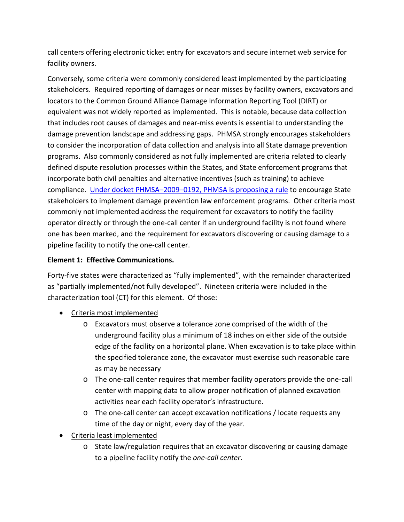call centers offering electronic ticket entry for excavators and secure internet web service for facility owners.

Conversely, some criteria were commonly considered least implemented by the participating stakeholders. Required reporting of damages or near misses by facility owners, excavators and locators to the Common Ground Alliance Damage Information Reporting Tool (DIRT) or equivalent was not widely reported as implemented. This is notable, because data collection that includes root causes of damages and near-miss events is essential to understanding the damage prevention landscape and addressing gaps. PHMSA strongly encourages stakeholders to consider the incorporation of data collection and analysis into all State damage prevention programs. Also commonly considered as not fully implemented are criteria related to clearly defined dispute resolution processes within the States, and State enforcement programs that incorporate both civil penalties and alternative incentives (such as training) to achieve compliance. [Under docket PHMSA–2009–0192, PHMSA is proposing a rule](http://phmsa.dot.gov/portal/site/PHMSA/menuitem.6f23687cf7b00b0f22e4c6962d9c8789/?vgnextoid=64b10a8d8ae76310VgnVCM1000001ecb7898RCRD&vgnextchannel=f0b8a535eac17110VgnVCM1000009ed07898RCRD&vgnextfmt=print) to encourage State stakeholders to implement damage prevention law enforcement programs. Other criteria most commonly not implemented address the requirement for excavators to notify the facility operator directly or through the one-call center if an underground facility is not found where one has been marked, and the requirement for excavators discovering or causing damage to a pipeline facility to notify the one-call center.

## **Element 1: Effective Communications.**

Forty-five states were characterized as "fully implemented", with the remainder characterized as "partially implemented/not fully developed". Nineteen criteria were included in the characterization tool (CT) for this element. Of those:

- Criteria most implemented
	- o Excavators must observe a tolerance zone comprised of the width of the underground facility plus a minimum of 18 inches on either side of the outside edge of the facility on a horizontal plane. When excavation is to take place within the specified tolerance zone, the excavator must exercise such reasonable care as may be necessary
	- o The one-call center requires that member facility operators provide the one-call center with mapping data to allow proper notification of planned excavation activities near each facility operator's infrastructure.
	- o The one-call center can accept excavation notifications / locate requests any time of the day or night, every day of the year.
- Criteria least implemented
	- o State law/regulation requires that an excavator discovering or causing damage to a pipeline facility notify the *one-call center*.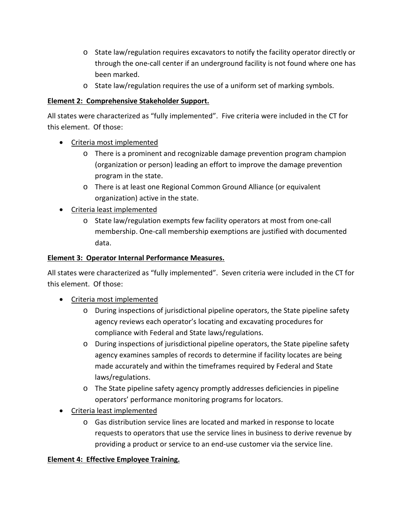- o State law/regulation requires excavators to notify the facility operator directly or through the one-call center if an underground facility is not found where one has been marked.
- o State law/regulation requires the use of a uniform set of marking symbols.

### **Element 2: Comprehensive Stakeholder Support.**

All states were characterized as "fully implemented". Five criteria were included in the CT for this element. Of those:

- Criteria most implemented
	- o There is a prominent and recognizable damage prevention program champion (organization or person) leading an effort to improve the damage prevention program in the state.
	- o There is at least one Regional Common Ground Alliance (or equivalent organization) active in the state.
- Criteria least implemented
	- o State law/regulation exempts few facility operators at most from one-call membership. One-call membership exemptions are justified with documented data.

### **Element 3: Operator Internal Performance Measures.**

All states were characterized as "fully implemented". Seven criteria were included in the CT for this element. Of those:

- Criteria most implemented
	- o During inspections of jurisdictional pipeline operators, the State pipeline safety agency reviews each operator's locating and excavating procedures for compliance with Federal and State laws/regulations.
	- o During inspections of jurisdictional pipeline operators, the State pipeline safety agency examines samples of records to determine if facility locates are being made accurately and within the timeframes required by Federal and State laws/regulations.
	- o The State pipeline safety agency promptly addresses deficiencies in pipeline operators' performance monitoring programs for locators.
- Criteria least implemented
	- o Gas distribution service lines are located and marked in response to locate requests to operators that use the service lines in business to derive revenue by providing a product or service to an end-use customer via the service line.

## **Element 4: Effective Employee Training.**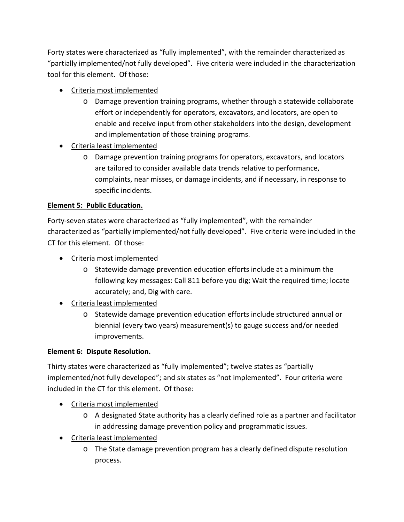Forty states were characterized as "fully implemented", with the remainder characterized as "partially implemented/not fully developed". Five criteria were included in the characterization tool for this element. Of those:

- Criteria most implemented
	- o Damage prevention training programs, whether through a statewide collaborate effort or independently for operators, excavators, and locators, are open to enable and receive input from other stakeholders into the design, development and implementation of those training programs.
- Criteria least implemented
	- o Damage prevention training programs for operators, excavators, and locators are tailored to consider available data trends relative to performance, complaints, near misses, or damage incidents, and if necessary, in response to specific incidents.

## **Element 5: Public Education.**

Forty-seven states were characterized as "fully implemented", with the remainder characterized as "partially implemented/not fully developed". Five criteria were included in the CT for this element. Of those:

- Criteria most implemented
	- o Statewide damage prevention education efforts include at a minimum the following key messages: Call 811 before you dig; Wait the required time; locate accurately; and, Dig with care.
- Criteria least implemented
	- o Statewide damage prevention education efforts include structured annual or biennial (every two years) measurement(s) to gauge success and/or needed improvements.

#### **Element 6: Dispute Resolution.**

Thirty states were characterized as "fully implemented"; twelve states as "partially implemented/not fully developed"; and six states as "not implemented". Four criteria were included in the CT for this element. Of those:

- Criteria most implemented
	- o A designated State authority has a clearly defined role as a partner and facilitator in addressing damage prevention policy and programmatic issues.
- Criteria least implemented
	- o The State damage prevention program has a clearly defined dispute resolution process.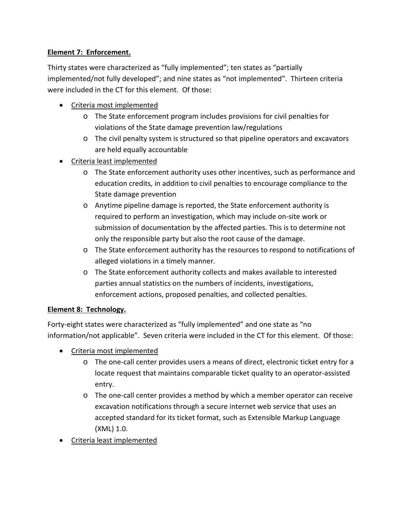## **Element 7: Enforcement.**

Thirty states were characterized as "fully implemented"; ten states as "partially implemented/not fully developed"; and nine states as "not implemented". Thirteen criteria were included in the CT for this element. Of those:

- Criteria most implemented
	- o The State enforcement program includes provisions for civil penalties for violations of the State damage prevention law/regulations
	- o The civil penalty system is structured so that pipeline operators and excavators are held equally accountable
- Criteria least implemented
	- o The State enforcement authority uses other incentives, such as performance and education credits, in addition to civil penalties to encourage compliance to the State damage prevention
	- o Anytime pipeline damage is reported, the State enforcement authority is required to perform an investigation, which may include on-site work or submission of documentation by the affected parties. This is to determine not only the responsible party but also the root cause of the damage.
	- o The State enforcement authority has the resources to respond to notifications of alleged violations in a timely manner.
	- o The State enforcement authority collects and makes available to interested parties annual statistics on the numbers of incidents, investigations, enforcement actions, proposed penalties, and collected penalties.

#### **Element 8: Technology.**

Forty-eight states were characterized as "fully implemented" and one state as "no information/not applicable". Seven criteria were included in the CT for this element. Of those:

- Criteria most implemented
	- o The one-call center provides users a means of direct, electronic ticket entry for a locate request that maintains comparable ticket quality to an operator-assisted entry.
	- o The one-call center provides a method by which a member operator can receive excavation notifications through a secure internet web service that uses an accepted standard for its ticket format, such as Extensible Markup Language (XML) 1.0.
- Criteria least implemented